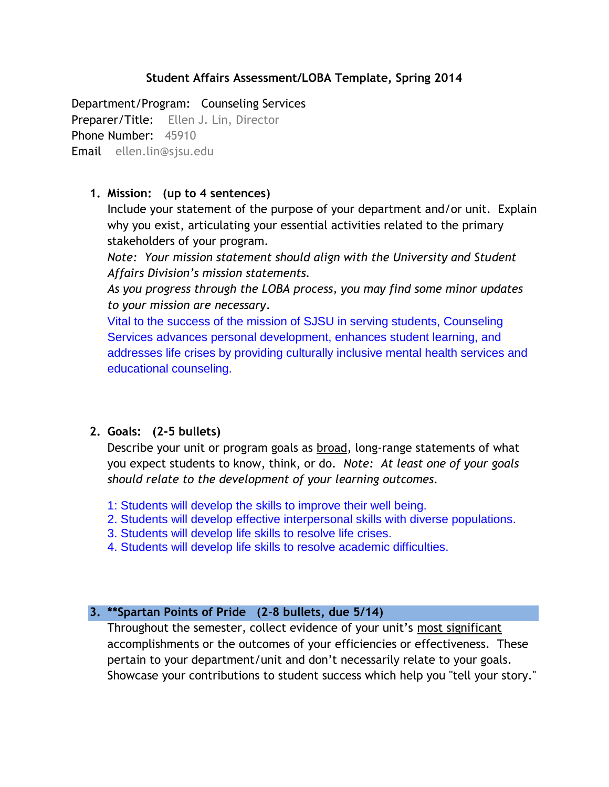## **Student Affairs Assessment/LOBA Template, Spring 2014**

Department/Program: Counseling Services Preparer/Title: Ellen J. Lin, Director Phone Number: 45910 Email ellen.lin@sjsu.edu

## **1. Mission: (up to 4 sentences)**

Include your statement of the purpose of your department and/or unit. Explain why you exist, articulating your essential activities related to the primary stakeholders of your program.

*Note: Your mission statement should align with the University and Student Affairs Division's mission statements.* 

*As you progress through the LOBA process, you may find some minor updates to your mission are necessary*.

Vital to the success of the mission of SJSU in serving students, Counseling Services advances personal development, enhances student learning, and addresses life crises by providing culturally inclusive mental health services and educational counseling.

## **2. Goals: (2-5 bullets)**

Describe your unit or program goals as broad, long-range statements of what you expect students to know, think, or do*. Note: At least one of your goals should relate to the development of your learning outcomes.*

- 1: Students will develop the skills to improve their well being.
- 2. Students will develop effective interpersonal skills with diverse populations.
- 3. Students will develop life skills to resolve life crises.
- 4. Students will develop life skills to resolve academic difficulties.

## **3. \*\*Spartan Points of Pride (2-8 bullets, due 5/14)**

Throughout the semester, collect evidence of your unit's most significant accomplishments or the outcomes of your efficiencies or effectiveness. These pertain to your department/unit and don't necessarily relate to your goals. Showcase your contributions to student success which help you "tell your story."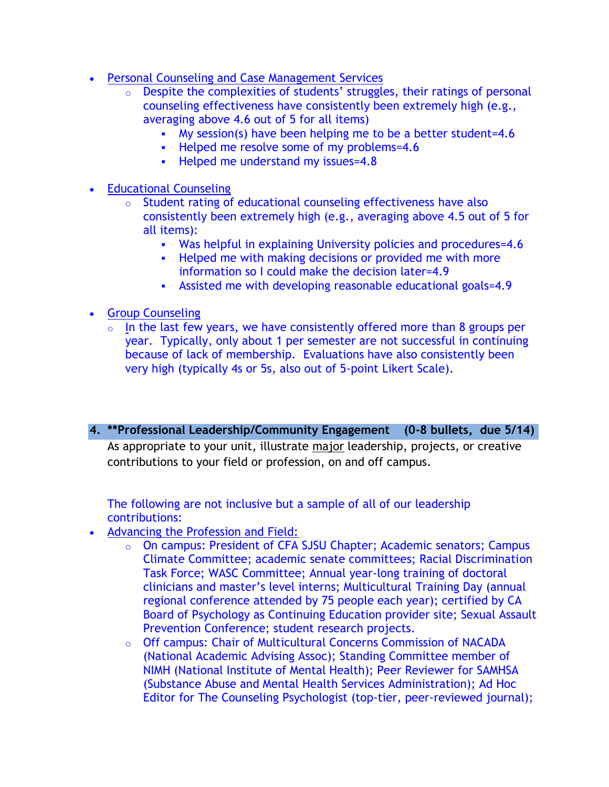- Personal Counseling and Case Management Services
	- o Despite the complexities of students' struggles, their ratings of personal counseling effectiveness have consistently been extremely high (e.g., averaging above 4.6 out of 5 for all items)
		- My session(s) have been helping me to be a better student=4.6
		- Helped me resolve some of my problems=4.6
		- **Helped me understand my issues=4.8**
- Educational Counseling
	- o Student rating of educational counseling effectiveness have also consistently been extremely high (e.g., averaging above 4.5 out of 5 for all items):
		- Was helpful in explaining University policies and procedures=4.6
		- **Helped me with making decisions or provided me with more** information so I could make the decision later=4.9
		- Assisted me with developing reasonable educational goals=4.9
- Group Counseling
	- o In the last few years, we have consistently offered more than 8 groups per year. Typically, only about 1 per semester are not successful in continuing because of lack of membership. Evaluations have also consistently been very high (typically 4s or 5s, also out of 5-point Likert Scale).
- **4. \*\*Professional Leadership/Community Engagement (0-8 bullets, due 5/14)** As appropriate to your unit, illustrate major leadership, projects, or creative contributions to your field or profession, on and off campus.

The following are not inclusive but a sample of all of our leadership contributions:

- Advancing the Profession and Field:
	- o On campus: President of CFA SJSU Chapter; Academic senators; Campus Climate Committee; academic senate committees; Racial Discrimination Task Force; WASC Committee; Annual year-long training of doctoral clinicians and master's level interns; Multicultural Training Day (annual regional conference attended by 75 people each year); certified by CA Board of Psychology as Continuing Education provider site; Sexual Assault Prevention Conference; student research projects.
	- o Off campus: Chair of Multicultural Concerns Commission of NACADA (National Academic Advising Assoc); Standing Committee member of NIMH (National Institute of Mental Health); Peer Reviewer for SAMHSA (Substance Abuse and Mental Health Services Administration); Ad Hoc Editor for The Counseling Psychologist (top-tier, peer-reviewed journal);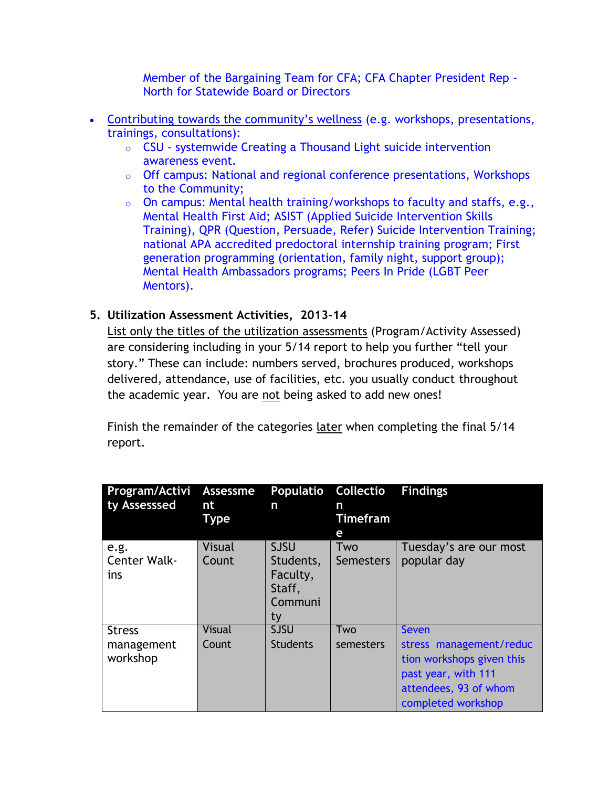Member of the Bargaining Team for CFA; CFA Chapter President Rep - North for Statewide Board or Directors

- Contributing towards the community's wellness (e.g. workshops, presentations, trainings, consultations):
	- o CSU systemwide Creating a Thousand Light suicide intervention awareness event.
	- o Off campus: National and regional conference presentations, Workshops to the Community;
	- $\circ$  On campus: Mental health training/workshops to faculty and staffs, e.g., Mental Health First Aid; ASIST (Applied Suicide Intervention Skills Training), QPR (Question, Persuade, Refer) Suicide Intervention Training; national APA accredited predoctoral internship training program; First generation programming (orientation, family night, support group); Mental Health Ambassadors programs; Peers In Pride (LGBT Peer Mentors).

## **5. Utilization Assessment Activities, 2013-14**

List only the titles of the utilization assessments (Program/Activity Assessed) are considering including in your 5/14 report to help you further "tell your story." These can include: numbers served, brochures produced, workshops delivered, attendance, use of facilities, etc. you usually conduct throughout the academic year. You are not being asked to add new ones!

Finish the remainder of the categories later when completing the final 5/14 report.

| Program/Activi<br>ty Assesssed | Assessme<br>nt<br><b>Type</b> | Populatio Collectio<br>n                                        | n<br><b>Timefram</b><br>е | <b>Findings</b>                                                                                                            |
|--------------------------------|-------------------------------|-----------------------------------------------------------------|---------------------------|----------------------------------------------------------------------------------------------------------------------------|
| e.g.<br>Center Walk-<br>ins    | <b>Visual</b><br>Count        | <b>SJSU</b><br>Students,<br>Faculty,<br>Staff,<br>Communi<br>ty | Two<br><b>Semesters</b>   | Tuesday's are our most<br>popular day                                                                                      |
| <b>Stress</b>                  | <b>Visual</b>                 | <b>SJSU</b>                                                     | Two                       | Seven                                                                                                                      |
| management<br>workshop         | Count                         | <b>Students</b>                                                 | semesters                 | stress management/reduc<br>tion workshops given this<br>past year, with 111<br>attendees, 93 of whom<br>completed workshop |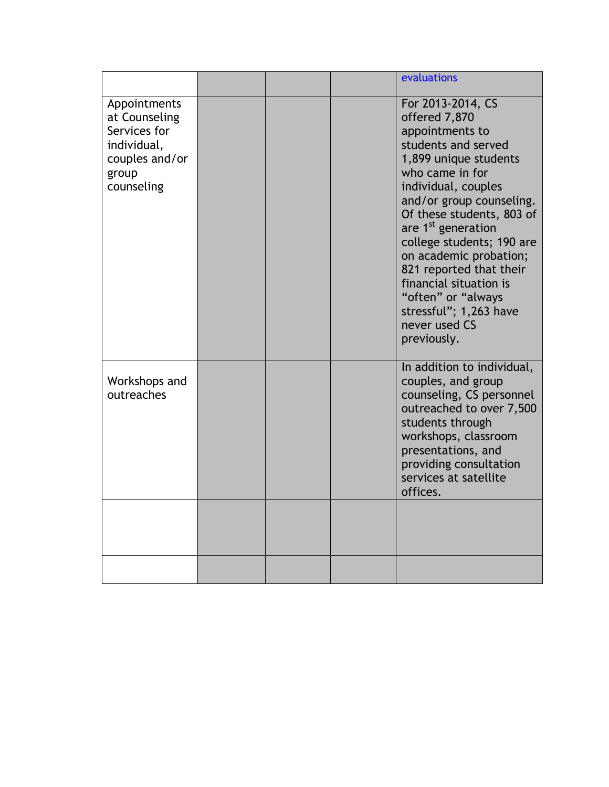|                                                                                                       |  | evaluations                                                                                                                                                                                                                                                                                                                                                                                                                            |
|-------------------------------------------------------------------------------------------------------|--|----------------------------------------------------------------------------------------------------------------------------------------------------------------------------------------------------------------------------------------------------------------------------------------------------------------------------------------------------------------------------------------------------------------------------------------|
| Appointments<br>at Counseling<br>Services for<br>individual,<br>couples and/or<br>group<br>counseling |  | For 2013-2014, CS<br>offered 7,870<br>appointments to<br>students and served<br>1,899 unique students<br>who came in for<br>individual, couples<br>and/or group counseling.<br>Of these students, 803 of<br>are 1 <sup>st</sup> generation<br>college students; 190 are<br>on academic probation;<br>821 reported that their<br>financial situation is<br>"often" or "always<br>stressful"; 1,263 have<br>never used CS<br>previously. |
| Workshops and<br>outreaches                                                                           |  | In addition to individual,<br>couples, and group<br>counseling, CS personnel<br>outreached to over 7,500<br>students through<br>workshops, classroom<br>presentations, and<br>providing consultation<br>services at satellite<br>offices.                                                                                                                                                                                              |
|                                                                                                       |  |                                                                                                                                                                                                                                                                                                                                                                                                                                        |
|                                                                                                       |  |                                                                                                                                                                                                                                                                                                                                                                                                                                        |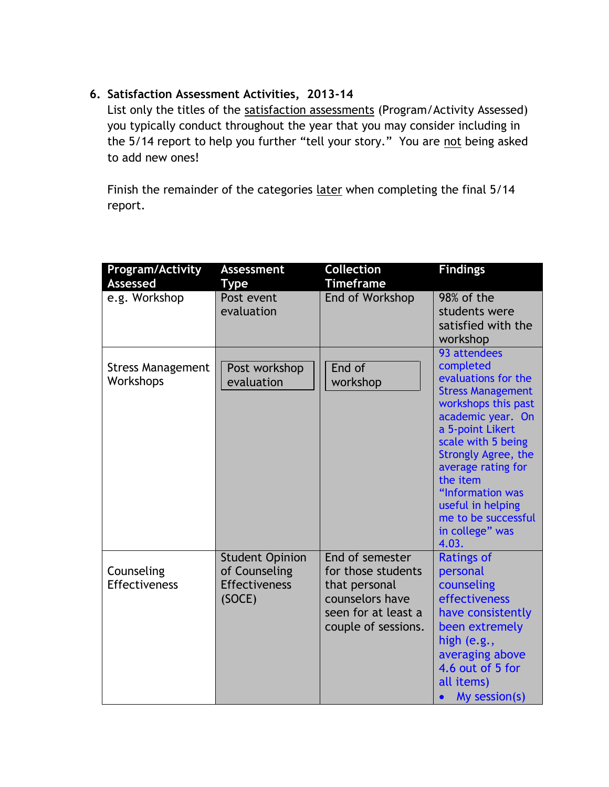## **6. Satisfaction Assessment Activities, 2013-14**

List only the titles of the satisfaction assessments (Program/Activity Assessed) you typically conduct throughout the year that you may consider including in the 5/14 report to help you further "tell your story." You are not being asked to add new ones!

Finish the remainder of the categories later when completing the final 5/14 report.

| <b>Program/Activity</b><br><b>Assessed</b> | <b>Assessment</b><br>Type                                                 | <b>Collection</b><br><b>Timeframe</b>                                                                                   | <b>Findings</b>                                                                                                                                                                                                                                                                                                                |
|--------------------------------------------|---------------------------------------------------------------------------|-------------------------------------------------------------------------------------------------------------------------|--------------------------------------------------------------------------------------------------------------------------------------------------------------------------------------------------------------------------------------------------------------------------------------------------------------------------------|
| e.g. Workshop                              | Post event<br>evaluation                                                  | End of Workshop                                                                                                         | 98% of the<br>students were<br>satisfied with the<br>workshop                                                                                                                                                                                                                                                                  |
| <b>Stress Management</b><br>Workshops      | Post workshop<br>evaluation                                               | End of<br>workshop                                                                                                      | 93 attendees<br>completed<br>evaluations for the<br><b>Stress Management</b><br>workshops this past<br>academic year. On<br>a 5-point Likert<br>scale with 5 being<br><b>Strongly Agree, the</b><br>average rating for<br>the item<br>"Information was<br>useful in helping<br>me to be successful<br>in college" was<br>4.03. |
| Counseling<br><b>Effectiveness</b>         | <b>Student Opinion</b><br>of Counseling<br><b>Effectiveness</b><br>(SOCE) | End of semester<br>for those students<br>that personal<br>counselors have<br>seen for at least a<br>couple of sessions. | <b>Ratings of</b><br>personal<br>counseling<br>effectiveness<br>have consistently<br>been extremely<br>high (e.g.,<br>averaging above<br>4.6 out of 5 for<br>all items)<br>My session(s)                                                                                                                                       |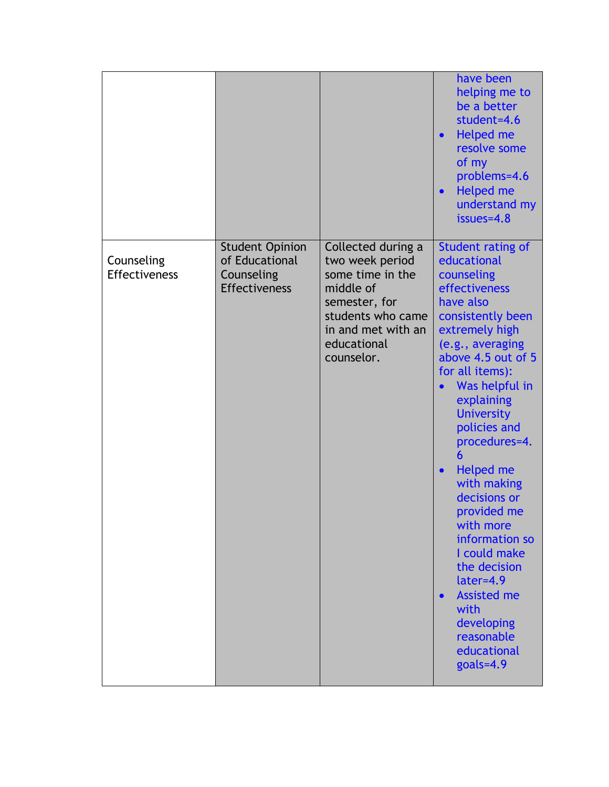|                             |                                                                                |                                                                                                                                                                 | have been<br>helping me to<br>be a better<br>student=4.6<br>Helped me<br>$\bullet$<br>resolve some<br>of my<br>problems=4.6<br>Helped me<br>$\bullet$<br>understand my<br>$issues=4.8$                                                                                                                                                                                                                                                                                                                           |
|-----------------------------|--------------------------------------------------------------------------------|-----------------------------------------------------------------------------------------------------------------------------------------------------------------|------------------------------------------------------------------------------------------------------------------------------------------------------------------------------------------------------------------------------------------------------------------------------------------------------------------------------------------------------------------------------------------------------------------------------------------------------------------------------------------------------------------|
| Counseling<br>Effectiveness | <b>Student Opinion</b><br>of Educational<br>Counseling<br><b>Effectiveness</b> | Collected during a<br>two week period<br>some time in the<br>middle of<br>semester, for<br>students who came<br>in and met with an<br>educational<br>counselor. | Student rating of<br>educational<br>counseling<br>effectiveness<br>have also<br>consistently been<br>extremely high<br>(e.g., averaging<br>above 4.5 out of 5<br>for all items):<br>Was helpful in<br>explaining<br><b>University</b><br>policies and<br>procedures=4.<br>Helped me<br>$\bullet$<br>with making<br>decisions or<br>provided me<br>with more<br>information so<br>I could make<br>the decision<br>later=4.9<br><b>Assisted me</b><br>with<br>developing<br>reasonable<br>educational<br>goals=4.9 |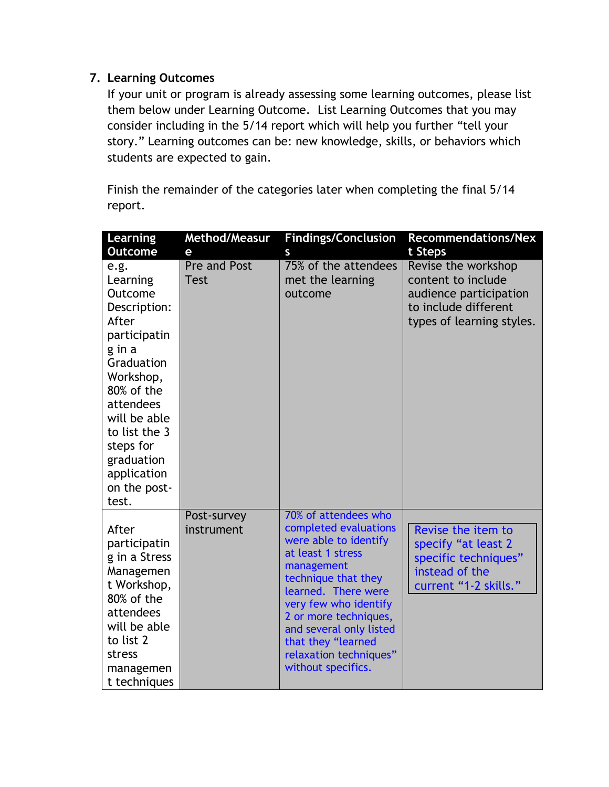# **7. Learning Outcomes**

If your unit or program is already assessing some learning outcomes, please list them below under Learning Outcome. List Learning Outcomes that you may consider including in the 5/14 report which will help you further "tell your story." Learning outcomes can be: new knowledge, skills, or behaviors which students are expected to gain.

Finish the remainder of the categories later when completing the final 5/14 report.

| Learning                                                                                                                                                                                                                                 | Method/Measur               | <b>Findings/Conclusion</b>                                                                                                                                                                                                                                                                                 | <b>Recommendations/Nex</b>                                                                                               |
|------------------------------------------------------------------------------------------------------------------------------------------------------------------------------------------------------------------------------------------|-----------------------------|------------------------------------------------------------------------------------------------------------------------------------------------------------------------------------------------------------------------------------------------------------------------------------------------------------|--------------------------------------------------------------------------------------------------------------------------|
| <b>Outcome</b>                                                                                                                                                                                                                           | е                           | S                                                                                                                                                                                                                                                                                                          | t Steps                                                                                                                  |
| e.g.<br>Learning<br>Outcome<br>Description:<br>After<br>participatin<br>g in a<br>Graduation<br>Workshop,<br>80% of the<br>attendees<br>will be able<br>to list the 3<br>steps for<br>graduation<br>application<br>on the post-<br>test. | Pre and Post<br><b>Test</b> | 75% of the attendees<br>met the learning<br>outcome                                                                                                                                                                                                                                                        | Revise the workshop<br>content to include<br>audience participation<br>to include different<br>types of learning styles. |
| After<br>participatin<br>g in a Stress<br>Managemen<br>t Workshop,<br>80% of the<br>attendees<br>will be able<br>to list 2<br>stress<br>managemen<br>t techniques                                                                        | Post-survey<br>instrument   | 70% of attendees who<br>completed evaluations<br>were able to identify<br>at least 1 stress<br>management<br>technique that they<br>learned. There were<br>very few who identify<br>2 or more techniques,<br>and several only listed<br>that they "learned<br>relaxation techniques"<br>without specifics. | Revise the item to<br>specify "at least 2<br>specific techniques"<br>instead of the<br>current "1-2 skills."             |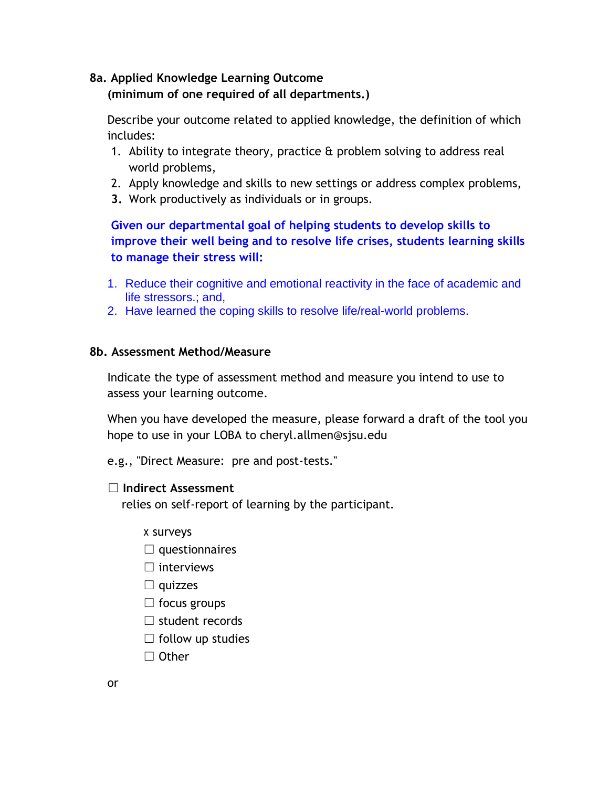### **8a. Applied Knowledge Learning Outcome**

**(minimum of one required of all departments.)**

Describe your outcome related to applied knowledge, the definition of which includes:

- 1. Ability to integrate theory, practice & problem solving to address real world problems,
- 2. Apply knowledge and skills to new settings or address complex problems,
- **3.** Work productively as individuals or in groups.

**Given our departmental goal of helping students to develop skills to improve their well being and to resolve life crises, students learning skills to manage their stress will:** 

- 1. Reduce their cognitive and emotional reactivity in the face of academic and life stressors.; and,
- 2. Have learned the coping skills to resolve life/real-world problems.

### **8b. Assessment Method/Measure**

Indicate the type of assessment method and measure you intend to use to assess your learning outcome.

When you have developed the measure, please forward a draft of the tool you hope to use in your LOBA to cheryl.allmen@sjsu.edu

e.g., "Direct Measure: pre and post-tests."

## ☐ **Indirect Assessment**

relies on self-report of learning by the participant.

- x surveys
- $\Box$  questionnaires
- $\Box$  interviews
- $\Box$  quizzes
- $\Box$  focus groups
- $\Box$  student records
- $\Box$  follow up studies
- ☐ Other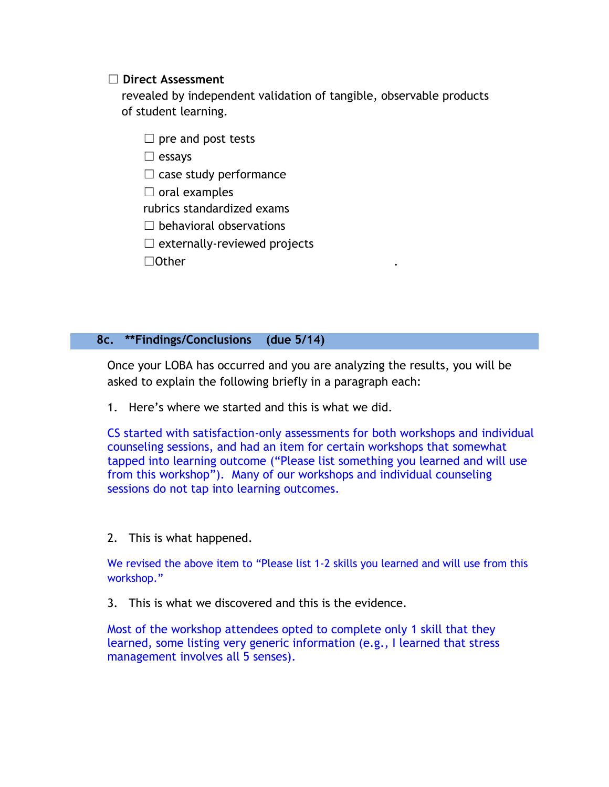#### ☐ **Direct Assessment**

 revealed by independent validation of tangible, observable products of student learning.

 $\Box$  pre and post tests

 $\Box$  essays

 $\Box$  case study performance

 $\Box$  oral examples

rubrics standardized exams

 $\Box$  behavioral observations

 $\Box$  externally-reviewed projects

□Other

#### **8c. \*\*Findings/Conclusions (due 5/14)**

Once your LOBA has occurred and you are analyzing the results, you will be asked to explain the following briefly in a paragraph each:

1. Here's where we started and this is what we did.

CS started with satisfaction-only assessments for both workshops and individual counseling sessions, and had an item for certain workshops that somewhat tapped into learning outcome ("Please list something you learned and will use from this workshop"). Many of our workshops and individual counseling sessions do not tap into learning outcomes.

#### 2. This is what happened.

We revised the above item to "Please list 1-2 skills you learned and will use from this workshop."

3. This is what we discovered and this is the evidence.

Most of the workshop attendees opted to complete only 1 skill that they learned, some listing very generic information (e.g., I learned that stress management involves all 5 senses).